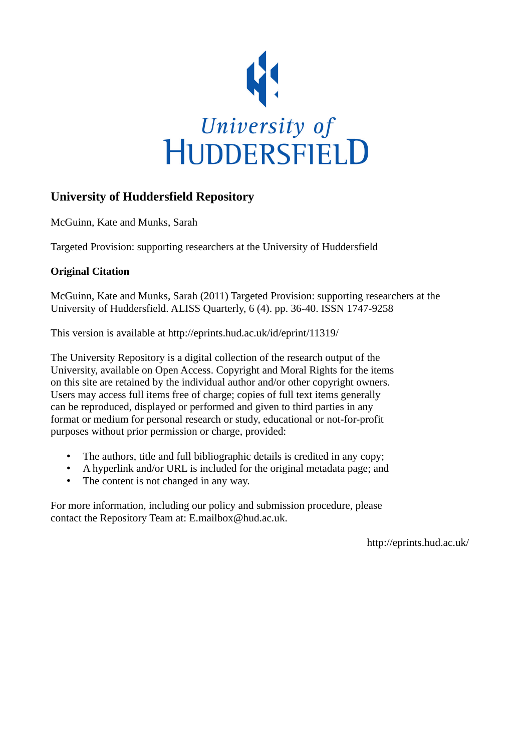

# **University of Huddersfield Repository**

McGuinn, Kate and Munks, Sarah

Targeted Provision: supporting researchers at the University of Huddersfield

# **Original Citation**

McGuinn, Kate and Munks, Sarah (2011) Targeted Provision: supporting researchers at the University of Huddersfield. ALISS Quarterly, 6 (4). pp. 36-40. ISSN 1747-9258

This version is available at http://eprints.hud.ac.uk/id/eprint/11319/

The University Repository is a digital collection of the research output of the University, available on Open Access. Copyright and Moral Rights for the items on this site are retained by the individual author and/or other copyright owners. Users may access full items free of charge; copies of full text items generally can be reproduced, displayed or performed and given to third parties in any format or medium for personal research or study, educational or not-for-profit purposes without prior permission or charge, provided:

- The authors, title and full bibliographic details is credited in any copy;
- A hyperlink and/or URL is included for the original metadata page; and
- The content is not changed in any way.

For more information, including our policy and submission procedure, please contact the Repository Team at: E.mailbox@hud.ac.uk.

http://eprints.hud.ac.uk/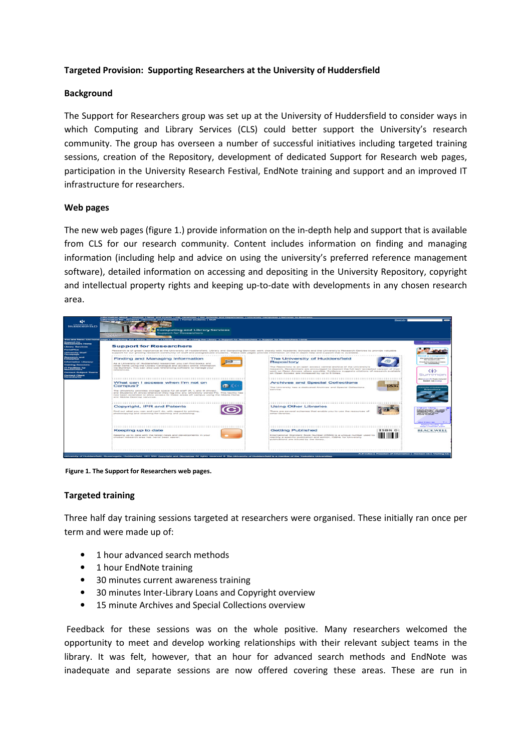# Targeted Provision: Supporting Researchers at the University of Huddersfield

#### **Background**

The Support for Researchers group was set up at the University of Huddersfield to consider ways in which Computing and Library Services (CLS) could better support the University's research community. The group has overseen a number of successful initiatives including targeted training sessions, creation of the Repository, development of dedicated Support for Research web pages, participation in the University Research Festival, EndNote training and support and an improved IT infrastructure for researchers.

#### Web pages

The new web pages (figure 1.) provide information on the in-depth help and support that is available from CLS for our research community. Content includes information on finding and managing information (including help and advice on using the university's preferred reference management software), detailed information on accessing and depositing in the University Repository, copyright and intellectual property rights and keeping up-to-date with developments in any chosen research area.



Figure 1. The Support for Researchers web pages.

#### Targeted training

Three half day training sessions targeted at researchers were organised. These initially ran once per term and were made up of:

- 1 hour advanced search methods
- 1 hour EndNote training
- 30 minutes current awareness training
- 30 minutes Inter-Library Loans and Copyright overview
- 15 minute Archives and Special Collections overview

 Feedback for these sessions was on the whole positive. Many researchers welcomed the opportunity to meet and develop working relationships with their relevant subject teams in the library. It was felt, however, that an hour for advanced search methods and EndNote was inadequate and separate sessions are now offered covering these areas. These are run in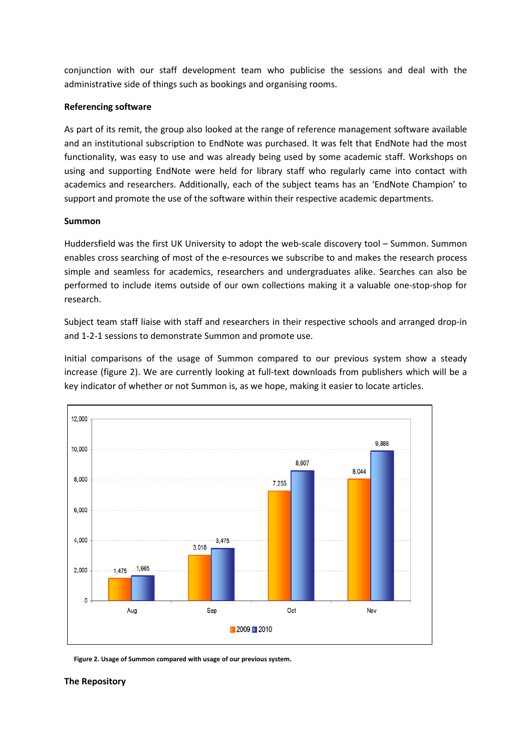conjunction with our staff development team who publicise the sessions and deal with the administrative side of things such as bookings and organising rooms.

## Referencing software

As part of its remit, the group also looked at the range of reference management software available and an institutional subscription to EndNote was purchased. It was felt that EndNote had the most functionality, was easy to use and was already being used by some academic staff. Workshops on using and supporting EndNote were held for library staff who regularly came into contact with academics and researchers. Additionally, each of the subject teams has an 'EndNote Champion' to support and promote the use of the software within their respective academic departments.

# Summon

Huddersfield was the first UK University to adopt the web-scale discovery tool – Summon. Summon enables cross searching of most of the e-resources we subscribe to and makes the research process simple and seamless for academics, researchers and undergraduates alike. Searches can also be performed to include items outside of our own collections making it a valuable one-stop-shop for research.

Subject team staff liaise with staff and researchers in their respective schools and arranged drop-in and 1-2-1 sessions to demonstrate Summon and promote use.

Initial comparisons of the usage of Summon compared to our previous system show a steady increase (figure 2). We are currently looking at full-text downloads from publishers which will be a key indicator of whether or not Summon is, as we hope, making it easier to locate articles.



Figure 2. Usage of Summon compared with usage of our previous system.

#### The Repository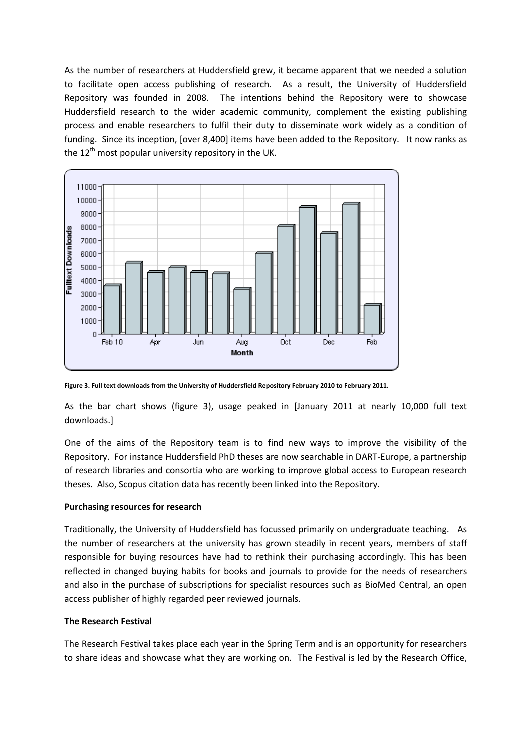As the number of researchers at Huddersfield grew, it became apparent that we needed a solution to facilitate open access publishing of research. As a result, the University of Huddersfield Repository was founded in 2008. The intentions behind the Repository were to showcase Huddersfield research to the wider academic community, complement the existing publishing process and enable researchers to fulfil their duty to disseminate work widely as a condition of funding. Since its inception, [over 8,400] items have been added to the Repository. It now ranks as the  $12<sup>th</sup>$  most popular university repository in the UK.



Figure 3. Full text downloads from the University of Huddersfield Repository February 2010 to February 2011.

As the bar chart shows (figure 3), usage peaked in [January 2011 at nearly 10,000 full text downloads.]

One of the aims of the Repository team is to find new ways to improve the visibility of the Repository. For instance Huddersfield PhD theses are now searchable in DART-Europe, a partnership of research libraries and consortia who are working to improve global access to European research theses. Also, Scopus citation data has recently been linked into the Repository.

#### Purchasing resources for research

Traditionally, the University of Huddersfield has focussed primarily on undergraduate teaching. As the number of researchers at the university has grown steadily in recent years, members of staff responsible for buying resources have had to rethink their purchasing accordingly. This has been reflected in changed buying habits for books and journals to provide for the needs of researchers and also in the purchase of subscriptions for specialist resources such as BioMed Central, an open access publisher of highly regarded peer reviewed journals.

#### The Research Festival

The Research Festival takes place each year in the Spring Term and is an opportunity for researchers to share ideas and showcase what they are working on. The Festival is led by the Research Office,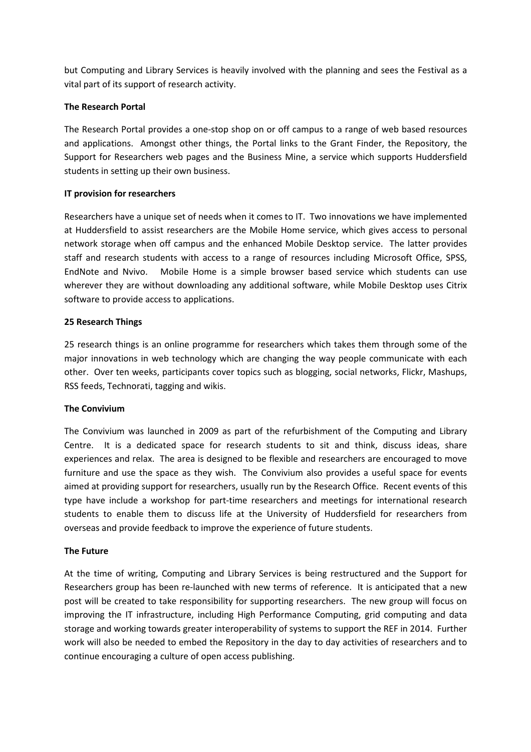but Computing and Library Services is heavily involved with the planning and sees the Festival as a vital part of its support of research activity.

# The Research Portal

The Research Portal provides a one-stop shop on or off campus to a range of web based resources and applications. Amongst other things, the Portal links to the Grant Finder, the Repository, the Support for Researchers web pages and the Business Mine, a service which supports Huddersfield students in setting up their own business.

# IT provision for researchers

Researchers have a unique set of needs when it comes to IT. Two innovations we have implemented at Huddersfield to assist researchers are the Mobile Home service, which gives access to personal network storage when off campus and the enhanced Mobile Desktop service. The latter provides staff and research students with access to a range of resources including Microsoft Office, SPSS, EndNote and Nvivo. Mobile Home is a simple browser based service which students can use wherever they are without downloading any additional software, while Mobile Desktop uses Citrix software to provide access to applications.

# 25 Research Things

25 research things is an online programme for researchers which takes them through some of the major innovations in web technology which are changing the way people communicate with each other. Over ten weeks, participants cover topics such as blogging, social networks, Flickr, Mashups, RSS feeds, Technorati, tagging and wikis.

#### The Convivium

The Convivium was launched in 2009 as part of the refurbishment of the Computing and Library Centre. It is a dedicated space for research students to sit and think, discuss ideas, share experiences and relax. The area is designed to be flexible and researchers are encouraged to move furniture and use the space as they wish. The Convivium also provides a useful space for events aimed at providing support for researchers, usually run by the Research Office. Recent events of this type have include a workshop for part-time researchers and meetings for international research students to enable them to discuss life at the University of Huddersfield for researchers from overseas and provide feedback to improve the experience of future students.

#### The Future

At the time of writing, Computing and Library Services is being restructured and the Support for Researchers group has been re-launched with new terms of reference. It is anticipated that a new post will be created to take responsibility for supporting researchers. The new group will focus on improving the IT infrastructure, including High Performance Computing, grid computing and data storage and working towards greater interoperability of systems to support the REF in 2014. Further work will also be needed to embed the Repository in the day to day activities of researchers and to continue encouraging a culture of open access publishing.